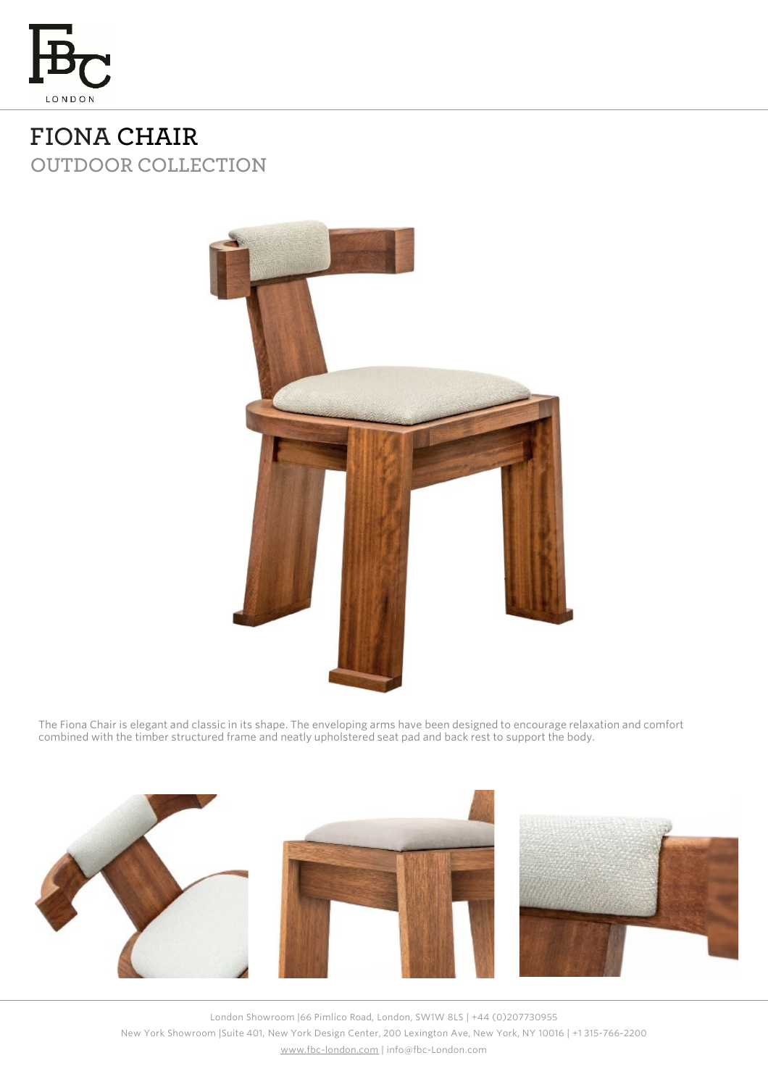

**FIONA CHAIR OUTDOOR COLLECTION**



The Fiona Chair is elegant and classic in its shape. The enveloping arms have been designed to encourage relaxation and comfort combined with the timber structured frame and neatly upholstered seat pad and back rest to support the body.



London Showroom |66 Pimlico Road, London, SW1W 8LS | +44 (0)207730955 New York Showroom |Suite 401, New York Design Center, 200 Lexington Ave, New York, NY 10016 | +1 315-766-2200 [www.fbc-london.com](http://www.fbc-london.com/) | info@fbc-London.com